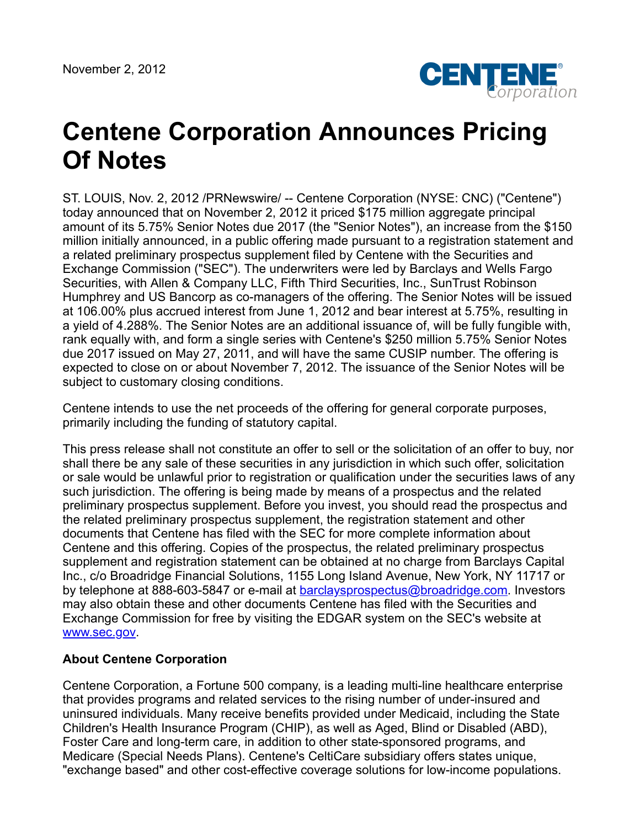

## **Centene Corporation Announces Pricing Of Notes**

ST. LOUIS, Nov. 2, 2012 /PRNewswire/ -- Centene Corporation (NYSE: CNC) ("Centene") today announced that on November 2, 2012 it priced \$175 million aggregate principal amount of its 5.75% Senior Notes due 2017 (the "Senior Notes"), an increase from the \$150 million initially announced, in a public offering made pursuant to a registration statement and a related preliminary prospectus supplement filed by Centene with the Securities and Exchange Commission ("SEC"). The underwriters were led by Barclays and Wells Fargo Securities, with Allen & Company LLC, Fifth Third Securities, Inc., SunTrust Robinson Humphrey and US Bancorp as co-managers of the offering. The Senior Notes will be issued at 106.00% plus accrued interest from June 1, 2012 and bear interest at 5.75%, resulting in a yield of 4.288%. The Senior Notes are an additional issuance of, will be fully fungible with, rank equally with, and form a single series with Centene's \$250 million 5.75% Senior Notes due 2017 issued on May 27, 2011, and will have the same CUSIP number. The offering is expected to close on or about November 7, 2012. The issuance of the Senior Notes will be subject to customary closing conditions.

Centene intends to use the net proceeds of the offering for general corporate purposes, primarily including the funding of statutory capital.

This press release shall not constitute an offer to sell or the solicitation of an offer to buy, nor shall there be any sale of these securities in any jurisdiction in which such offer, solicitation or sale would be unlawful prior to registration or qualification under the securities laws of any such jurisdiction. The offering is being made by means of a prospectus and the related preliminary prospectus supplement. Before you invest, you should read the prospectus and the related preliminary prospectus supplement, the registration statement and other documents that Centene has filed with the SEC for more complete information about Centene and this offering. Copies of the prospectus, the related preliminary prospectus supplement and registration statement can be obtained at no charge from Barclays Capital Inc., c/o Broadridge Financial Solutions, 1155 Long Island Avenue, New York, NY 11717 or by telephone at 888-603-5847 or e-mail at **barclaysprospectus@broadridge.com**. Investors may also obtain these and other documents Centene has filed with the Securities and Exchange Commission for free by visiting the EDGAR system on the SEC's website at [www.sec.gov](http://www.sec.gov/).

## **About Centene Corporation**

Centene Corporation, a Fortune 500 company, is a leading multi-line healthcare enterprise that provides programs and related services to the rising number of under-insured and uninsured individuals. Many receive benefits provided under Medicaid, including the State Children's Health Insurance Program (CHIP), as well as Aged, Blind or Disabled (ABD), Foster Care and long-term care, in addition to other state-sponsored programs, and Medicare (Special Needs Plans). Centene's CeltiCare subsidiary offers states unique, "exchange based" and other cost-effective coverage solutions for low-income populations.